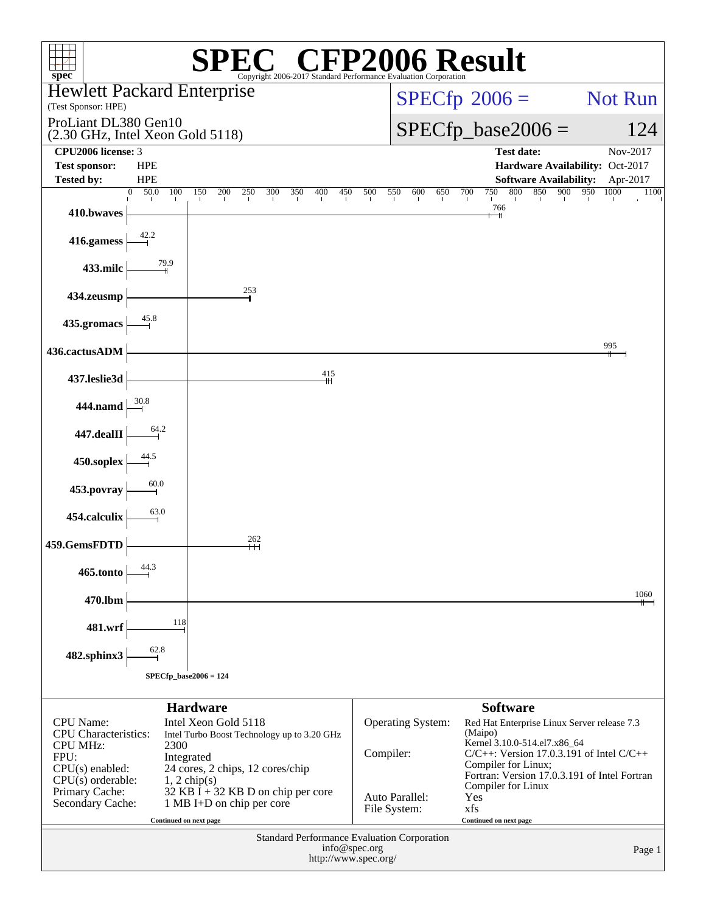| $spec^*$                                                                                                                                         |                                                                                                                                                                                       |                 |                                                                     |                                             |     |                      |     |               |                                                                                                                                           |                   |     |     | $\mathbb{C}^{\circledast}$ CFP2006 Result                                                                                               |                   |     |     |                                 |      |          |
|--------------------------------------------------------------------------------------------------------------------------------------------------|---------------------------------------------------------------------------------------------------------------------------------------------------------------------------------------|-----------------|---------------------------------------------------------------------|---------------------------------------------|-----|----------------------|-----|---------------|-------------------------------------------------------------------------------------------------------------------------------------------|-------------------|-----|-----|-----------------------------------------------------------------------------------------------------------------------------------------|-------------------|-----|-----|---------------------------------|------|----------|
| Copyright 2006-2017 Standard Performance Evaluation Corporation<br><b>Hewlett Packard Enterprise</b><br>$SPECfp^{\circ}2006 =$<br><b>Not Run</b> |                                                                                                                                                                                       |                 |                                                                     |                                             |     |                      |     |               |                                                                                                                                           |                   |     |     |                                                                                                                                         |                   |     |     |                                 |      |          |
| (Test Sponsor: HPE)<br>ProLiant DL380 Gen10                                                                                                      |                                                                                                                                                                                       |                 |                                                                     |                                             |     |                      |     |               |                                                                                                                                           |                   |     |     |                                                                                                                                         |                   |     |     |                                 |      |          |
| $SPECfp\_base2006 =$<br>(2.30 GHz, Intel Xeon Gold 5118)                                                                                         |                                                                                                                                                                                       |                 |                                                                     |                                             |     |                      |     |               |                                                                                                                                           | 124               |     |     |                                                                                                                                         |                   |     |     |                                 |      |          |
| CPU2006 license: 3<br><b>Test sponsor:</b>                                                                                                       | <b>HPE</b>                                                                                                                                                                            |                 |                                                                     |                                             |     |                      |     |               |                                                                                                                                           |                   |     |     |                                                                                                                                         | <b>Test date:</b> |     |     | Hardware Availability: Oct-2017 |      | Nov-2017 |
| <b>Tested by:</b>                                                                                                                                | <b>HPE</b>                                                                                                                                                                            |                 |                                                                     |                                             |     |                      |     |               |                                                                                                                                           |                   |     |     |                                                                                                                                         |                   |     |     | <b>Software Availability:</b>   |      | Apr-2017 |
| 410.bwaves                                                                                                                                       | 50.0<br>$\Omega$<br>100                                                                                                                                                               | 150             | 200<br>250                                                          | 300                                         | 350 | 400                  | 450 | 500           | 550                                                                                                                                       | 600               | 650 | 700 | 750<br>$\frac{766}{+}$                                                                                                                  | 800               | 850 | 900 | 950                             | 1000 | 1100     |
| 416.gamess                                                                                                                                       | 42.2                                                                                                                                                                                  |                 |                                                                     |                                             |     |                      |     |               |                                                                                                                                           |                   |     |     |                                                                                                                                         |                   |     |     |                                 |      |          |
| 433.milc                                                                                                                                         | 79.9                                                                                                                                                                                  |                 |                                                                     |                                             |     |                      |     |               |                                                                                                                                           |                   |     |     |                                                                                                                                         |                   |     |     |                                 |      |          |
| 434.zeusmp                                                                                                                                       |                                                                                                                                                                                       |                 | 253                                                                 |                                             |     |                      |     |               |                                                                                                                                           |                   |     |     |                                                                                                                                         |                   |     |     |                                 |      |          |
| 435.gromacs                                                                                                                                      | 45.8                                                                                                                                                                                  |                 |                                                                     |                                             |     |                      |     |               |                                                                                                                                           |                   |     |     |                                                                                                                                         |                   |     |     |                                 |      |          |
| 436.cactusADM                                                                                                                                    |                                                                                                                                                                                       |                 |                                                                     |                                             |     |                      |     |               |                                                                                                                                           |                   |     |     |                                                                                                                                         |                   |     |     |                                 | 995  |          |
| 437.leslie3d                                                                                                                                     |                                                                                                                                                                                       |                 |                                                                     |                                             |     | 415<br>₩             |     |               |                                                                                                                                           |                   |     |     |                                                                                                                                         |                   |     |     |                                 |      |          |
| 444.namd                                                                                                                                         | 30.8                                                                                                                                                                                  |                 |                                                                     |                                             |     |                      |     |               |                                                                                                                                           |                   |     |     |                                                                                                                                         |                   |     |     |                                 |      |          |
| 447.dealII                                                                                                                                       | 64.2                                                                                                                                                                                  |                 |                                                                     |                                             |     |                      |     |               |                                                                                                                                           |                   |     |     |                                                                                                                                         |                   |     |     |                                 |      |          |
| 450.soplex                                                                                                                                       | 44.5                                                                                                                                                                                  |                 |                                                                     |                                             |     |                      |     |               |                                                                                                                                           |                   |     |     |                                                                                                                                         |                   |     |     |                                 |      |          |
| 453.povray                                                                                                                                       | 60.0                                                                                                                                                                                  |                 |                                                                     |                                             |     |                      |     |               |                                                                                                                                           |                   |     |     |                                                                                                                                         |                   |     |     |                                 |      |          |
| 454.calculix                                                                                                                                     | 63.0                                                                                                                                                                                  |                 |                                                                     |                                             |     |                      |     |               |                                                                                                                                           |                   |     |     |                                                                                                                                         |                   |     |     |                                 |      |          |
| 459.GemsFDTD                                                                                                                                     |                                                                                                                                                                                       |                 | 262                                                                 |                                             |     |                      |     |               |                                                                                                                                           |                   |     |     |                                                                                                                                         |                   |     |     |                                 |      |          |
| 465.tonto                                                                                                                                        | 44.3                                                                                                                                                                                  |                 |                                                                     |                                             |     |                      |     |               |                                                                                                                                           |                   |     |     |                                                                                                                                         |                   |     |     |                                 |      |          |
| 470.lbm                                                                                                                                          |                                                                                                                                                                                       |                 |                                                                     |                                             |     |                      |     |               |                                                                                                                                           |                   |     |     |                                                                                                                                         |                   |     |     |                                 |      | 1060     |
| 481.wrf                                                                                                                                          | 118                                                                                                                                                                                   |                 |                                                                     |                                             |     |                      |     |               |                                                                                                                                           |                   |     |     |                                                                                                                                         |                   |     |     |                                 |      |          |
| 482.sphinx3                                                                                                                                      | 62.8                                                                                                                                                                                  |                 |                                                                     |                                             |     |                      |     |               |                                                                                                                                           |                   |     |     |                                                                                                                                         |                   |     |     |                                 |      |          |
| $SPECfp\_base2006 = 124$                                                                                                                         |                                                                                                                                                                                       |                 |                                                                     |                                             |     |                      |     |               |                                                                                                                                           |                   |     |     |                                                                                                                                         |                   |     |     |                                 |      |          |
|                                                                                                                                                  |                                                                                                                                                                                       | <b>Hardware</b> |                                                                     |                                             |     |                      |     |               |                                                                                                                                           |                   |     |     | <b>Software</b>                                                                                                                         |                   |     |     |                                 |      |          |
| <b>CPU</b> Name:<br><b>CPU</b> Characteristics:<br><b>CPU MHz:</b><br>FPU:                                                                       | 2300                                                                                                                                                                                  | Integrated      | Intel Xeon Gold 5118<br>Intel Turbo Boost Technology up to 3.20 GHz |                                             |     |                      |     |               | Compiler:                                                                                                                                 | Operating System: |     |     | Red Hat Enterprise Linux Server release 7.3<br>(Maipo)<br>Kernel 3.10.0-514.el7.x86_64<br>$C/C++$ : Version 17.0.3.191 of Intel $C/C++$ |                   |     |     |                                 |      |          |
| Primary Cache:                                                                                                                                   | $CPU(s)$ enabled:<br>24 cores, 2 chips, 12 cores/chip<br>$CPU(s)$ orderable:<br>$1, 2$ chip(s)<br>32 KB I + 32 KB D on chip per core<br>Secondary Cache:<br>1 MB I+D on chip per core |                 |                                                                     |                                             |     |                      |     |               | Compiler for Linux;<br>Fortran: Version 17.0.3.191 of Intel Fortran<br>Compiler for Linux<br>Auto Parallel:<br>Yes<br>File System:<br>xfs |                   |     |     |                                                                                                                                         |                   |     |     |                                 |      |          |
|                                                                                                                                                  | Continued on next page                                                                                                                                                                |                 |                                                                     |                                             |     |                      |     |               |                                                                                                                                           |                   |     |     | Continued on next page                                                                                                                  |                   |     |     |                                 |      |          |
|                                                                                                                                                  |                                                                                                                                                                                       |                 |                                                                     | Standard Performance Evaluation Corporation |     | http://www.spec.org/ |     | info@spec.org |                                                                                                                                           |                   |     |     |                                                                                                                                         |                   |     |     |                                 |      | Page 1   |
|                                                                                                                                                  |                                                                                                                                                                                       |                 |                                                                     |                                             |     |                      |     |               |                                                                                                                                           |                   |     |     |                                                                                                                                         |                   |     |     |                                 |      |          |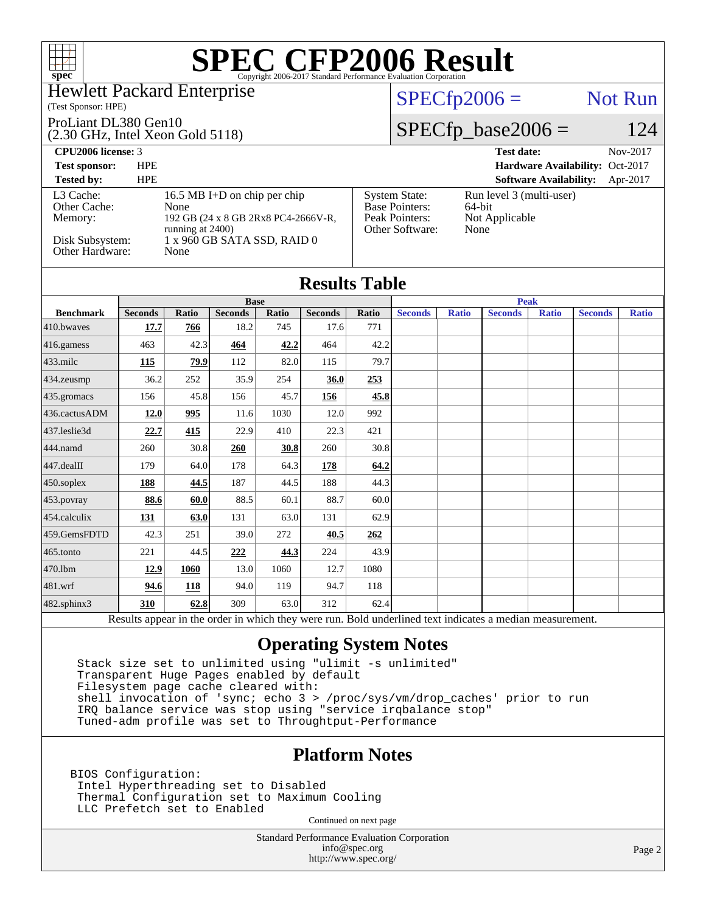

### Hewlett Packard Enterprise

(Test Sponsor: HPE)

#### ProLiant DL380 Gen10

(2.30 GHz, Intel Xeon Gold 5118)

### $SPECfp2006 =$  Not Run

[System State:](http://www.spec.org/auto/cpu2006/Docs/result-fields.html#SystemState) Run level 3 (multi-user)<br>Base Pointers: 64-bit

[Peak Pointers:](http://www.spec.org/auto/cpu2006/Docs/result-fields.html#PeakPointers) Not Applicable

[Other Software:](http://www.spec.org/auto/cpu2006/Docs/result-fields.html#OtherSoftware) None

[Base Pointers:](http://www.spec.org/auto/cpu2006/Docs/result-fields.html#BasePointers)

## $SPECfp\_base2006 = 124$

**[CPU2006 license:](http://www.spec.org/auto/cpu2006/Docs/result-fields.html#CPU2006license)** 3 **[Test date:](http://www.spec.org/auto/cpu2006/Docs/result-fields.html#Testdate)** Nov-2017

**[Test sponsor:](http://www.spec.org/auto/cpu2006/Docs/result-fields.html#Testsponsor)** HPE **[Hardware Availability:](http://www.spec.org/auto/cpu2006/Docs/result-fields.html#HardwareAvailability)** Oct-2017 **[Software Availability:](http://www.spec.org/auto/cpu2006/Docs/result-fields.html#SoftwareAvailability)** Apr-2017

| Tested by:      | HPE. |                                                         |
|-----------------|------|---------------------------------------------------------|
| L3 Cache:       |      | 16.5 MB I+D on chip per chip                            |
| Other Cache:    |      | None                                                    |
| Memory:         |      | 192 GB (24 x 8 GB 2Rx8 PC4-2666V-R,<br>running at 2400) |
| Disk Subsystem: |      | 1 x 960 GB SATA SSD, RAID 0                             |
| Other Hardware: |      | None                                                    |

| <b>Results Table</b> |                |       |                |       |                |              |                |              |                |              |                |              |
|----------------------|----------------|-------|----------------|-------|----------------|--------------|----------------|--------------|----------------|--------------|----------------|--------------|
|                      |                |       | <b>Base</b>    |       |                | <b>Peak</b>  |                |              |                |              |                |              |
| <b>Benchmark</b>     | <b>Seconds</b> | Ratio | <b>Seconds</b> | Ratio | <b>Seconds</b> | <b>Ratio</b> | <b>Seconds</b> | <b>Ratio</b> | <b>Seconds</b> | <b>Ratio</b> | <b>Seconds</b> | <b>Ratio</b> |
| 410.bwaves           | 17.7           | 766   | 18.2           | 745   | 17.6           | 771          |                |              |                |              |                |              |
| 416.gamess           | 463            | 42.3  | 464            | 42.2  | 464            | 42.2         |                |              |                |              |                |              |
| 433.milc             | <b>115</b>     | 79.9  | 112            | 82.0  | 115            | 79.7         |                |              |                |              |                |              |
| 434.zeusmp           | 36.2           | 252   | 35.9           | 254   | 36.0           | 253          |                |              |                |              |                |              |
| 435.gromacs          | 156            | 45.8  | 156            | 45.7  | <u>156</u>     | 45.8         |                |              |                |              |                |              |
| 436.cactusADM        | 12.0           | 995   | 11.6           | 1030  | 12.0           | 992          |                |              |                |              |                |              |
| 437.leslie3d         | 22.7           | 415   | 22.9           | 410   | 22.3           | 421          |                |              |                |              |                |              |
| 444.namd             | 260            | 30.8  | 260            | 30.8  | 260            | 30.8         |                |              |                |              |                |              |
| 447.dealII           | 179            | 64.0  | 178            | 64.3  | 178            | 64.2         |                |              |                |              |                |              |
| 450.soplex           | 188            | 44.5  | 187            | 44.5  | 188            | 44.3         |                |              |                |              |                |              |
| 453.povray           | 88.6           | 60.0  | 88.5           | 60.1  | 88.7           | 60.0         |                |              |                |              |                |              |
| 454.calculix         | 131            | 63.0  | 131            | 63.0  | 131            | 62.9         |                |              |                |              |                |              |
| 459.GemsFDTD         | 42.3           | 251   | 39.0           | 272   | 40.5           | 262          |                |              |                |              |                |              |
| 465.tonto            | 221            | 44.5  | 222            | 44.3  | 224            | 43.9         |                |              |                |              |                |              |
| 470.1bm              | 12.9           | 1060  | 13.0           | 1060  | 12.7           | 1080         |                |              |                |              |                |              |
| 481.wrf              | 94.6           | 118   | 94.0           | 119   | 94.7           | 118          |                |              |                |              |                |              |
| 482.sphinx3          | 310            | 62.8  | 309            | 63.0  | 312            | 62.4         |                |              | $\cdot$ .      |              |                |              |

Results appear in the [order in which they were run.](http://www.spec.org/auto/cpu2006/Docs/result-fields.html#RunOrder) Bold underlined text [indicates a median measurement.](http://www.spec.org/auto/cpu2006/Docs/result-fields.html#Median)

### **[Operating System Notes](http://www.spec.org/auto/cpu2006/Docs/result-fields.html#OperatingSystemNotes)**

 Stack size set to unlimited using "ulimit -s unlimited" Transparent Huge Pages enabled by default Filesystem page cache cleared with: shell invocation of 'sync; echo 3 > /proc/sys/vm/drop\_caches' prior to run IRQ balance service was stop using "service irqbalance stop" Tuned-adm profile was set to Throughtput-Performance

### **[Platform Notes](http://www.spec.org/auto/cpu2006/Docs/result-fields.html#PlatformNotes)**

BIOS Configuration: Intel Hyperthreading set to Disabled Thermal Configuration set to Maximum Cooling LLC Prefetch set to Enabled

Continued on next page

Standard Performance Evaluation Corporation [info@spec.org](mailto:info@spec.org) <http://www.spec.org/>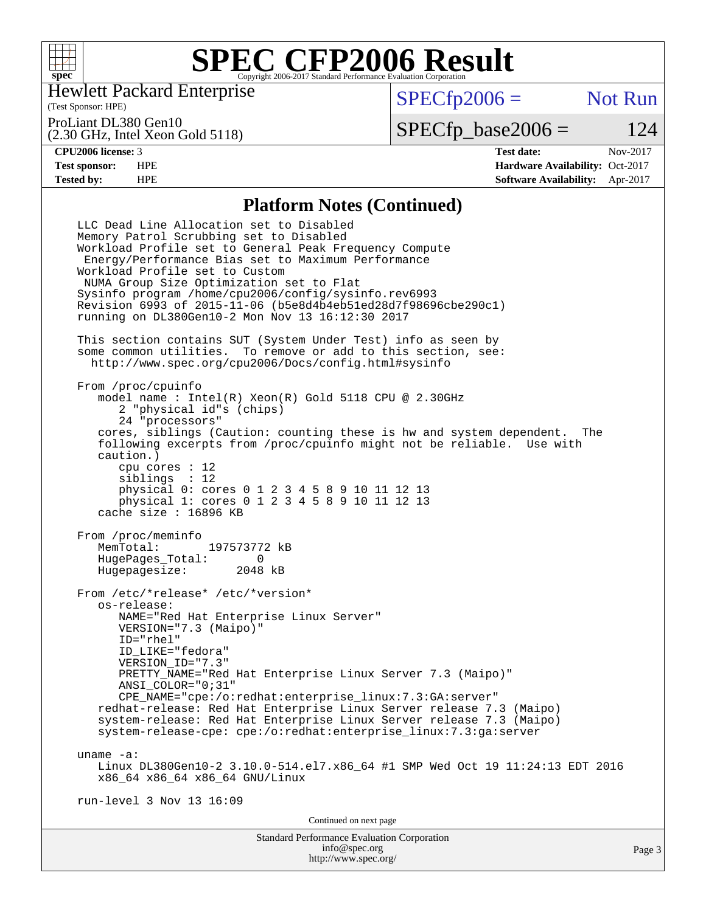

Hewlett Packard Enterprise

(Test Sponsor: HPE)

 $SPECfp2006 =$  Not Run

#### ProLiant DL380 Gen10

(2.30 GHz, Intel Xeon Gold 5118)

 $SPECfp\_base2006 = 124$ 

**[CPU2006 license:](http://www.spec.org/auto/cpu2006/Docs/result-fields.html#CPU2006license)** 3 **[Test date:](http://www.spec.org/auto/cpu2006/Docs/result-fields.html#Testdate)** Nov-2017 **[Test sponsor:](http://www.spec.org/auto/cpu2006/Docs/result-fields.html#Testsponsor)** HPE **[Hardware Availability:](http://www.spec.org/auto/cpu2006/Docs/result-fields.html#HardwareAvailability)** Oct-2017 **[Tested by:](http://www.spec.org/auto/cpu2006/Docs/result-fields.html#Testedby)** HPE **[Software Availability:](http://www.spec.org/auto/cpu2006/Docs/result-fields.html#SoftwareAvailability)** Apr-2017

### **[Platform Notes \(Continued\)](http://www.spec.org/auto/cpu2006/Docs/result-fields.html#PlatformNotes)**

Standard Performance Evaluation Corporation [info@spec.org](mailto:info@spec.org) Page 3 LLC Dead Line Allocation set to Disabled Memory Patrol Scrubbing set to Disabled Workload Profile set to General Peak Frequency Compute Energy/Performance Bias set to Maximum Performance Workload Profile set to Custom NUMA Group Size Optimization set to Flat Sysinfo program /home/cpu2006/config/sysinfo.rev6993 Revision 6993 of 2015-11-06 (b5e8d4b4eb51ed28d7f98696cbe290c1) running on DL380Gen10-2 Mon Nov 13 16:12:30 2017 This section contains SUT (System Under Test) info as seen by some common utilities. To remove or add to this section, see: <http://www.spec.org/cpu2006/Docs/config.html#sysinfo> From /proc/cpuinfo model name : Intel(R) Xeon(R) Gold 5118 CPU @ 2.30GHz 2 "physical id"s (chips) 24 "processors" cores, siblings (Caution: counting these is hw and system dependent. The following excerpts from /proc/cpuinfo might not be reliable. Use with caution.) cpu cores : 12 siblings : 12 physical 0: cores 0 1 2 3 4 5 8 9 10 11 12 13 physical 1: cores 0 1 2 3 4 5 8 9 10 11 12 13 cache size : 16896 KB From /proc/meminfo<br>MemTotal: 197573772 kB HugePages\_Total: 0 Hugepagesize: 2048 kB From /etc/\*release\* /etc/\*version\* os-release: NAME="Red Hat Enterprise Linux Server" VERSION="7.3 (Maipo)" ID="rhel" ID\_LIKE="fedora" VERSION\_ID="7.3" PRETTY NAME="Red Hat Enterprise Linux Server 7.3 (Maipo)" ANSI\_COLOR="0;31" CPE\_NAME="cpe:/o:redhat:enterprise\_linux:7.3:GA:server" redhat-release: Red Hat Enterprise Linux Server release 7.3 (Maipo) system-release: Red Hat Enterprise Linux Server release 7.3 (Maipo) system-release-cpe: cpe:/o:redhat:enterprise\_linux:7.3:ga:server uname -a: Linux DL380Gen10-2 3.10.0-514.el7.x86\_64 #1 SMP Wed Oct 19 11:24:13 EDT 2016 x86\_64 x86\_64 x86\_64 GNU/Linux run-level 3 Nov 13 16:09 Continued on next page

<http://www.spec.org/>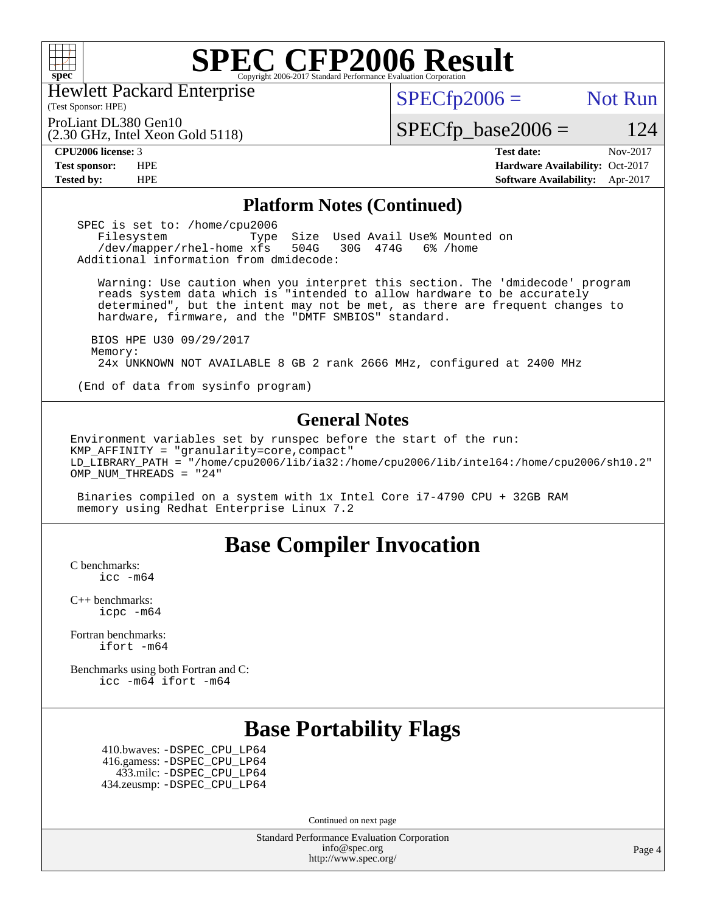

Hewlett Packard Enterprise

(2.30 GHz, Intel Xeon Gold 5118)

(Test Sponsor: HPE)

### $SPECTp2006 =$  Not Run

ProLiant DL380 Gen10

 $SPECfp\_base2006 = 124$ 

**[CPU2006 license:](http://www.spec.org/auto/cpu2006/Docs/result-fields.html#CPU2006license)** 3 **[Test date:](http://www.spec.org/auto/cpu2006/Docs/result-fields.html#Testdate)** Nov-2017 **[Test sponsor:](http://www.spec.org/auto/cpu2006/Docs/result-fields.html#Testsponsor)** HPE **[Hardware Availability:](http://www.spec.org/auto/cpu2006/Docs/result-fields.html#HardwareAvailability)** Oct-2017 **[Tested by:](http://www.spec.org/auto/cpu2006/Docs/result-fields.html#Testedby)** HPE **[Software Availability:](http://www.spec.org/auto/cpu2006/Docs/result-fields.html#SoftwareAvailability)** Apr-2017

### **[Platform Notes \(Continued\)](http://www.spec.org/auto/cpu2006/Docs/result-fields.html#PlatformNotes)**

SPEC is set to: /home/cpu2006<br>Filesystem Type Filesystem Type Size Used Avail Use% Mounted on<br>/dev/mapper/rhel-home xfs 504G 30G 474G 6% /home /dev/mapper/rhel-home xfs 504G Additional information from dmidecode:

 Warning: Use caution when you interpret this section. The 'dmidecode' program reads system data which is "intended to allow hardware to be accurately determined", but the intent may not be met, as there are frequent changes to hardware, firmware, and the "DMTF SMBIOS" standard.

 BIOS HPE U30 09/29/2017 Memory: 24x UNKNOWN NOT AVAILABLE 8 GB 2 rank 2666 MHz, configured at 2400 MHz

(End of data from sysinfo program)

### **[General Notes](http://www.spec.org/auto/cpu2006/Docs/result-fields.html#GeneralNotes)**

Environment variables set by runspec before the start of the run: KMP AFFINITY = "granularity=core, compact" LD\_LIBRARY\_PATH = "/home/cpu2006/lib/ia32:/home/cpu2006/lib/intel64:/home/cpu2006/sh10.2" OMP NUM THREADS = "24"

 Binaries compiled on a system with 1x Intel Core i7-4790 CPU + 32GB RAM memory using Redhat Enterprise Linux 7.2

## **[Base Compiler Invocation](http://www.spec.org/auto/cpu2006/Docs/result-fields.html#BaseCompilerInvocation)**

[C benchmarks](http://www.spec.org/auto/cpu2006/Docs/result-fields.html#Cbenchmarks): [icc -m64](http://www.spec.org/cpu2006/results/res2017q4/cpu2006-20171127-50792.flags.html#user_CCbase_intel_icc_64bit_bda6cc9af1fdbb0edc3795bac97ada53)

[C++ benchmarks:](http://www.spec.org/auto/cpu2006/Docs/result-fields.html#CXXbenchmarks) [icpc -m64](http://www.spec.org/cpu2006/results/res2017q4/cpu2006-20171127-50792.flags.html#user_CXXbase_intel_icpc_64bit_fc66a5337ce925472a5c54ad6a0de310)

[Fortran benchmarks](http://www.spec.org/auto/cpu2006/Docs/result-fields.html#Fortranbenchmarks): [ifort -m64](http://www.spec.org/cpu2006/results/res2017q4/cpu2006-20171127-50792.flags.html#user_FCbase_intel_ifort_64bit_ee9d0fb25645d0210d97eb0527dcc06e)

[Benchmarks using both Fortran and C](http://www.spec.org/auto/cpu2006/Docs/result-fields.html#BenchmarksusingbothFortranandC): [icc -m64](http://www.spec.org/cpu2006/results/res2017q4/cpu2006-20171127-50792.flags.html#user_CC_FCbase_intel_icc_64bit_bda6cc9af1fdbb0edc3795bac97ada53) [ifort -m64](http://www.spec.org/cpu2006/results/res2017q4/cpu2006-20171127-50792.flags.html#user_CC_FCbase_intel_ifort_64bit_ee9d0fb25645d0210d97eb0527dcc06e)

# **[Base Portability Flags](http://www.spec.org/auto/cpu2006/Docs/result-fields.html#BasePortabilityFlags)**

 410.bwaves: [-DSPEC\\_CPU\\_LP64](http://www.spec.org/cpu2006/results/res2017q4/cpu2006-20171127-50792.flags.html#suite_basePORTABILITY410_bwaves_DSPEC_CPU_LP64) 416.gamess: [-DSPEC\\_CPU\\_LP64](http://www.spec.org/cpu2006/results/res2017q4/cpu2006-20171127-50792.flags.html#suite_basePORTABILITY416_gamess_DSPEC_CPU_LP64) 433.milc: [-DSPEC\\_CPU\\_LP64](http://www.spec.org/cpu2006/results/res2017q4/cpu2006-20171127-50792.flags.html#suite_basePORTABILITY433_milc_DSPEC_CPU_LP64) 434.zeusmp: [-DSPEC\\_CPU\\_LP64](http://www.spec.org/cpu2006/results/res2017q4/cpu2006-20171127-50792.flags.html#suite_basePORTABILITY434_zeusmp_DSPEC_CPU_LP64)

Continued on next page

Standard Performance Evaluation Corporation [info@spec.org](mailto:info@spec.org) <http://www.spec.org/>